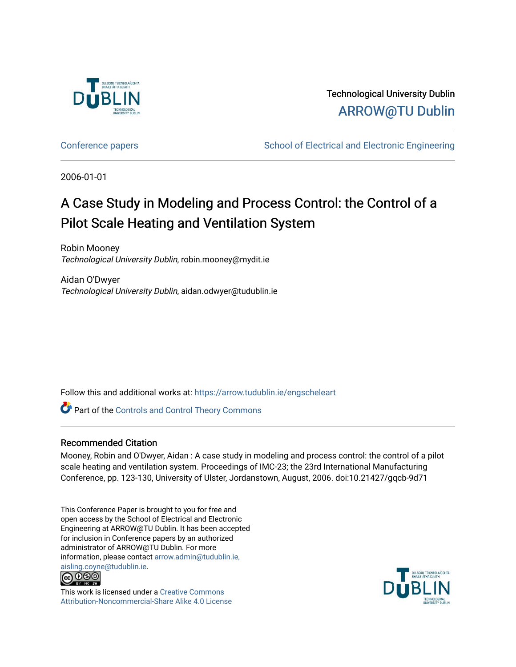

Technological University Dublin [ARROW@TU Dublin](https://arrow.tudublin.ie/) 

[Conference papers](https://arrow.tudublin.ie/engscheleart) **School of Electrical and Electronic Engineering** 

2006-01-01

# A Case Study in Modeling and Process Control: the Control of a Pilot Scale Heating and Ventilation System

Robin Mooney Technological University Dublin, robin.mooney@mydit.ie

Aidan O'Dwyer Technological University Dublin, aidan.odwyer@tudublin.ie

Follow this and additional works at: [https://arrow.tudublin.ie/engscheleart](https://arrow.tudublin.ie/engscheleart?utm_source=arrow.tudublin.ie%2Fengscheleart%2F18&utm_medium=PDF&utm_campaign=PDFCoverPages) 

**Part of the Controls and Control Theory Commons** 

## Recommended Citation

Mooney, Robin and O'Dwyer, Aidan : A case study in modeling and process control: the control of a pilot scale heating and ventilation system. Proceedings of IMC-23; the 23rd International Manufacturing Conference, pp. 123-130, University of Ulster, Jordanstown, August, 2006. doi:10.21427/gqcb-9d71

This Conference Paper is brought to you for free and open access by the School of Electrical and Electronic Engineering at ARROW@TU Dublin. It has been accepted for inclusion in Conference papers by an authorized administrator of ARROW@TU Dublin. For more information, please contact [arrow.admin@tudublin.ie,](mailto:arrow.admin@tudublin.ie,%20aisling.coyne@tudublin.ie)  [aisling.coyne@tudublin.ie.](mailto:arrow.admin@tudublin.ie,%20aisling.coyne@tudublin.ie)<br>© 090



This work is licensed under a [Creative Commons](http://creativecommons.org/licenses/by-nc-sa/4.0/) [Attribution-Noncommercial-Share Alike 4.0 License](http://creativecommons.org/licenses/by-nc-sa/4.0/)

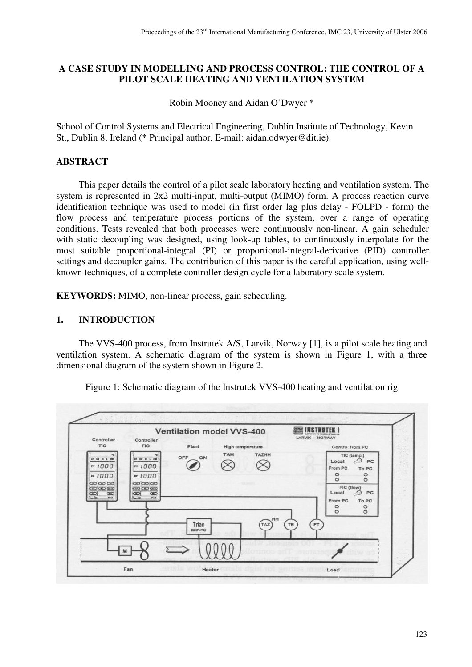# **A CASE STUDY IN MODELLING AND PROCESS CONTROL: THE CONTROL OF A PILOT SCALE HEATING AND VENTILATION SYSTEM**

Robin Mooney and Aidan O'Dwyer \*

School of Control Systems and Electrical Engineering, Dublin Institute of Technology, Kevin St., Dublin 8, Ireland (\* Principal author. E-mail: aidan.odwyer@dit.ie).

# **ABSTRACT**

This paper details the control of a pilot scale laboratory heating and ventilation system. The system is represented in 2x2 multi-input, multi-output (MIMO) form. A process reaction curve identification technique was used to model (in first order lag plus delay - FOLPD - form) the flow process and temperature process portions of the system, over a range of operating conditions. Tests revealed that both processes were continuously non-linear. A gain scheduler with static decoupling was designed, using look-up tables, to continuously interpolate for the most suitable proportional-integral (PI) or proportional-integral-derivative (PID) controller settings and decoupler gains. The contribution of this paper is the careful application, using wellknown techniques, of a complete controller design cycle for a laboratory scale system.

**KEYWORDS:** MIMO, non-linear process, gain scheduling.

## **1. INTRODUCTION**

The VVS-400 process, from Instrutek A/S, Larvik, Norway [1], is a pilot scale heating and ventilation system. A schematic diagram of the system is shown in Figure 1, with a three dimensional diagram of the system shown in Figure 2.

Figure 1: Schematic diagram of the Instrutek VVS-400 heating and ventilation rig

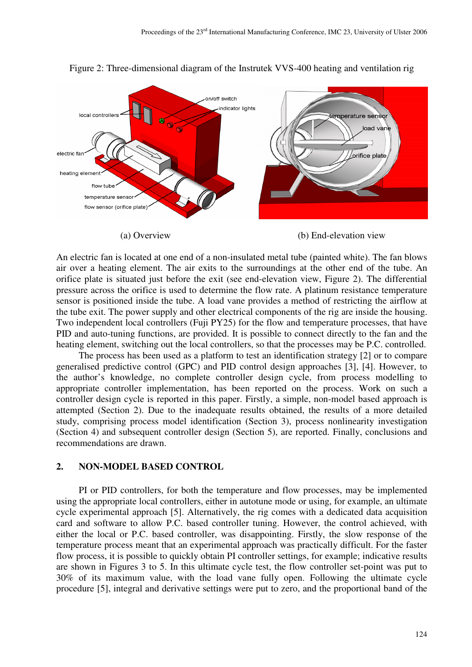

Figure 2: Three-dimensional diagram of the Instrutek VVS-400 heating and ventilation rig

(a) Overview (b) End-elevation view

An electric fan is located at one end of a non-insulated metal tube (painted white). The fan blows air over a heating element. The air exits to the surroundings at the other end of the tube. An orifice plate is situated just before the exit (see end-elevation view, Figure 2). The differential pressure across the orifice is used to determine the flow rate. A platinum resistance temperature sensor is positioned inside the tube. A load vane provides a method of restricting the airflow at the tube exit. The power supply and other electrical components of the rig are inside the housing. Two independent local controllers (Fuji PY25) for the flow and temperature processes, that have PID and auto-tuning functions, are provided. It is possible to connect directly to the fan and the heating element, switching out the local controllers, so that the processes may be P.C. controlled.

The process has been used as a platform to test an identification strategy [2] or to compare generalised predictive control (GPC) and PID control design approaches [3], [4]. However, to the author's knowledge, no complete controller design cycle, from process modelling to appropriate controller implementation, has been reported on the process. Work on such a controller design cycle is reported in this paper. Firstly, a simple, non-model based approach is attempted (Section 2). Due to the inadequate results obtained, the results of a more detailed study, comprising process model identification (Section 3), process nonlinearity investigation (Section 4) and subsequent controller design (Section 5), are reported. Finally, conclusions and recommendations are drawn.

## **2. NON-MODEL BASED CONTROL**

PI or PID controllers, for both the temperature and flow processes, may be implemented using the appropriate local controllers, either in autotune mode or using, for example, an ultimate cycle experimental approach [5]. Alternatively, the rig comes with a dedicated data acquisition card and software to allow P.C. based controller tuning. However, the control achieved, with either the local or P.C. based controller, was disappointing. Firstly, the slow response of the temperature process meant that an experimental approach was practically difficult. For the faster flow process, it is possible to quickly obtain PI controller settings, for example; indicative results are shown in Figures 3 to 5. In this ultimate cycle test, the flow controller set-point was put to 30% of its maximum value, with the load vane fully open. Following the ultimate cycle procedure [5], integral and derivative settings were put to zero, and the proportional band of the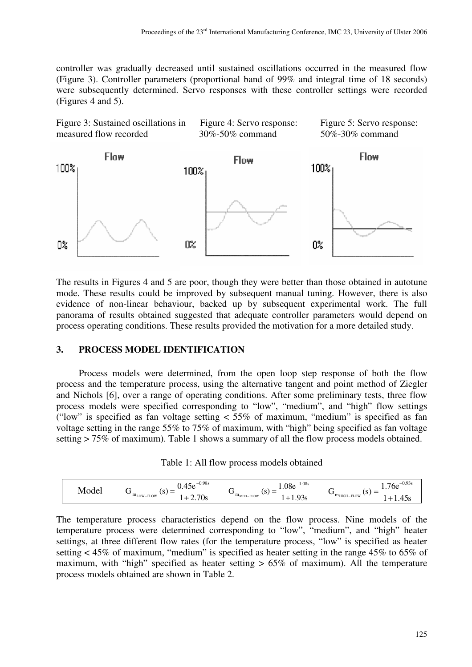controller was gradually decreased until sustained oscillations occurred in the measured flow (Figure 3). Controller parameters (proportional band of 99% and integral time of 18 seconds) were subsequently determined. Servo responses with these controller settings were recorded (Figures 4 and 5).



The results in Figures 4 and 5 are poor, though they were better than those obtained in autotune mode. These results could be improved by subsequent manual tuning. However, there is also evidence of non-linear behaviour, backed up by subsequent experimental work. The full panorama of results obtained suggested that adequate controller parameters would depend on process operating conditions. These results provided the motivation for a more detailed study.

## **3. PROCESS MODEL IDENTIFICATION**

Process models were determined, from the open loop step response of both the flow process and the temperature process, using the alternative tangent and point method of Ziegler and Nichols [6], over a range of operating conditions. After some preliminary tests, three flow process models were specified corresponding to "low", "medium", and "high" flow settings ("low" is specified as fan voltage setting  $\lt 55\%$  of maximum, "medium" is specified as fan voltage setting in the range 55% to 75% of maximum, with "high" being specified as fan voltage setting > 75% of maximum). Table 1 shows a summary of all the flow process models obtained.

| Table 1: All flow process models obtained |  |  |  |
|-------------------------------------------|--|--|--|
|-------------------------------------------|--|--|--|

| IVІ<br>`വല<br>$\overline{\phantom{a}}$<br>_<br>. O .<br>◡<br>$m_{\text{HIGH-FLOW}}$<br>$m$ <sub>MED-FLOW</sub><br>◡<br>$m_{LOW-FLOW}$<br>70s<br>-<br>- סע<br>.<br>، ، ، |  | 0.98s<br>$\sim$<br>7. JC | $-1.08s$<br>$0.08e^{-}$ | $-0.93s$<br>$.76e^{-t}$<br>1.73 |
|-------------------------------------------------------------------------------------------------------------------------------------------------------------------------|--|--------------------------|-------------------------|---------------------------------|
|-------------------------------------------------------------------------------------------------------------------------------------------------------------------------|--|--------------------------|-------------------------|---------------------------------|

The temperature process characteristics depend on the flow process. Nine models of the temperature process were determined corresponding to "low", "medium", and "high" heater settings, at three different flow rates (for the temperature process, "low" is specified as heater setting < 45% of maximum, "medium" is specified as heater setting in the range 45% to 65% of maximum, with "high" specified as heater setting  $> 65\%$  of maximum). All the temperature process models obtained are shown in Table 2.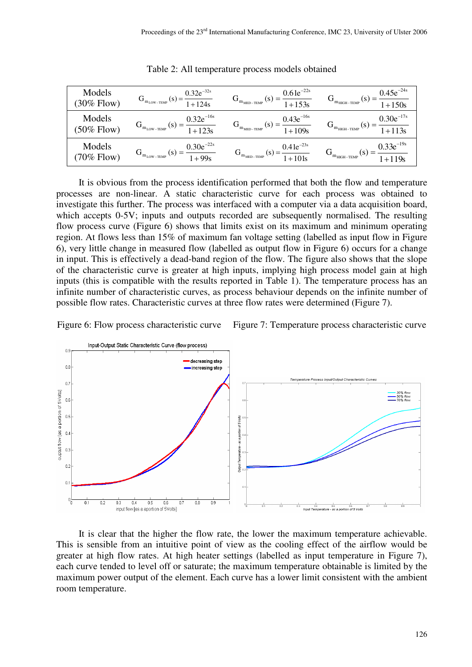| Models<br>$(30\%$ Flow) | $G_{m_{LOW-TEMP}}(s) = \frac{0.32e^{-32s}}{1+124s}$ | $G_{m_{\text{MED-TEMP}}}(s) = \frac{0.61e^{-22s}}{1+153s}$ | $G_{m_{HIGH-TEMP}}(s) = \frac{0.45e^{-24s}}{1+150s}$ |
|-------------------------|-----------------------------------------------------|------------------------------------------------------------|------------------------------------------------------|
| Models<br>$(50\%$ Flow) | $G_{m_{LOW-TEMP}}(s) = \frac{0.32e^{-16s}}{1+123s}$ | $G_{m_{MED-TEMP}}(s) = \frac{0.43e^{-16s}}{1+109s}$        | $G_{m_{HIGH-TEMP}}(s) = \frac{0.30e^{-17s}}{1+113s}$ |
| Models<br>$(70\%$ Flow) | $G_{m_{LOW-TEMP}}(s) = \frac{0.30e^{-22s}}{1+99s}$  | $G_{m_{\text{MED-TEMP}}}(s) = \frac{0.41e^{-23s}}{1+101s}$ | $G_{m_{HIGH-TEMP}}(s) = \frac{0.33e^{-19s}}{1+119s}$ |

Table 2: All temperature process models obtained

It is obvious from the process identification performed that both the flow and temperature processes are non-linear. A static characteristic curve for each process was obtained to investigate this further. The process was interfaced with a computer via a data acquisition board, which accepts 0-5V; inputs and outputs recorded are subsequently normalised. The resulting flow process curve (Figure 6) shows that limits exist on its maximum and minimum operating region. At flows less than 15% of maximum fan voltage setting (labelled as input flow in Figure 6), very little change in measured flow (labelled as output flow in Figure 6) occurs for a change in input. This is effectively a dead-band region of the flow. The figure also shows that the slope of the characteristic curve is greater at high inputs, implying high process model gain at high inputs (this is compatible with the results reported in Table 1). The temperature process has an infinite number of characteristic curves, as process behaviour depends on the infinite number of possible flow rates. Characteristic curves at three flow rates were determined (Figure 7).

Figure 6: Flow process characteristic curve Figure 7: Temperature process characteristic curve



It is clear that the higher the flow rate, the lower the maximum temperature achievable. This is sensible from an intuitive point of view as the cooling effect of the airflow would be greater at high flow rates. At high heater settings (labelled as input temperature in Figure 7), each curve tended to level off or saturate; the maximum temperature obtainable is limited by the maximum power output of the element. Each curve has a lower limit consistent with the ambient room temperature.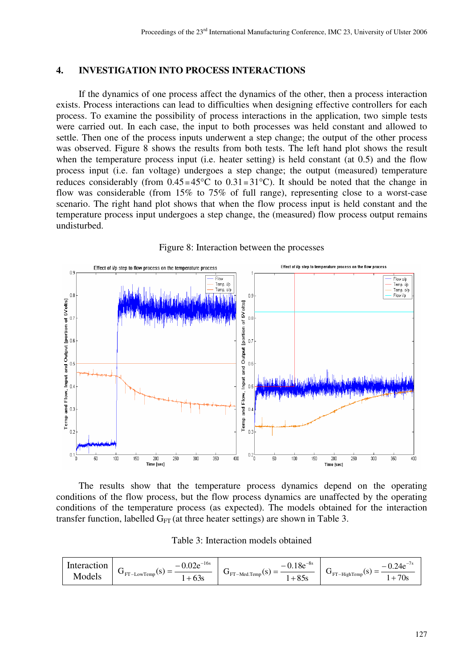# **4. INVESTIGATION INTO PROCESS INTERACTIONS**

If the dynamics of one process affect the dynamics of the other, then a process interaction exists. Process interactions can lead to difficulties when designing effective controllers for each process. To examine the possibility of process interactions in the application, two simple tests were carried out. In each case, the input to both processes was held constant and allowed to settle. Then one of the process inputs underwent a step change; the output of the other process was observed. Figure 8 shows the results from both tests. The left hand plot shows the result when the temperature process input (i.e. heater setting) is held constant (at 0.5) and the flow process input (i.e. fan voltage) undergoes a step change; the output (measured) temperature reduces considerably (from  $0.45 = 45^{\circ}\text{C}$  to  $0.31 = 31^{\circ}\text{C}$ ). It should be noted that the change in flow was considerable (from 15% to 75% of full range), representing close to a worst-case scenario. The right hand plot shows that when the flow process input is held constant and the temperature process input undergoes a step change, the (measured) flow process output remains undisturbed.



Figure 8: Interaction between the processes

The results show that the temperature process dynamics depend on the operating conditions of the flow process, but the flow process dynamics are unaffected by the operating conditions of the temperature process (as expected). The models obtained for the interaction transfer function, labelled  $G_{FT}$  (at three heater settings) are shown in Table 3.

|  | Table 3: Interaction models obtained |  |  |
|--|--------------------------------------|--|--|
|--|--------------------------------------|--|--|

| Interaction<br>Models | $-16s$<br>22a<br>v.v∠c<br>_<br>$\mathbf{G}$ FT-LowTemp<br>1 D<br>0.35<br>ᆠ | $-8s$<br>1 O.<br>—<br>0. I OC<br>$G_{\text{FT-Med.Temp}}(S)$<br>$\overline{\phantom{a}}$<br>$Q \leq$<br>ບບບ | $24\sigma$<br>$\overline{\phantom{0}}$<br>_<br>ι σ<br>$\mathbf{U}_{\text{FT-HighTemp}}$<br>70s |
|-----------------------|----------------------------------------------------------------------------|-------------------------------------------------------------------------------------------------------------|------------------------------------------------------------------------------------------------|
|-----------------------|----------------------------------------------------------------------------|-------------------------------------------------------------------------------------------------------------|------------------------------------------------------------------------------------------------|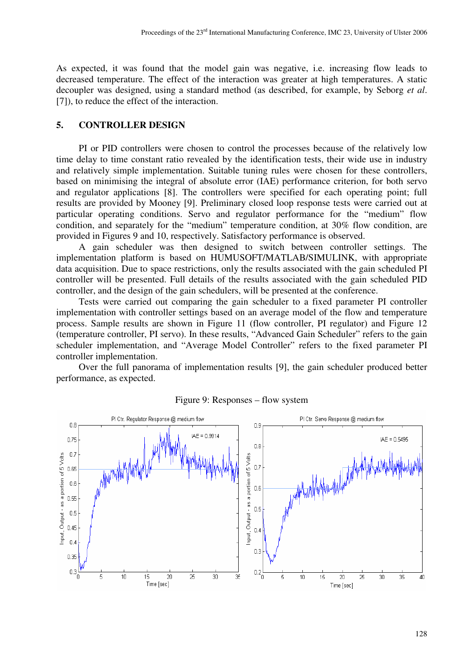As expected, it was found that the model gain was negative, i.e. increasing flow leads to decreased temperature. The effect of the interaction was greater at high temperatures. A static decoupler was designed, using a standard method (as described, for example, by Seborg *et al*. [7]), to reduce the effect of the interaction.

## **5. CONTROLLER DESIGN**

PI or PID controllers were chosen to control the processes because of the relatively low time delay to time constant ratio revealed by the identification tests, their wide use in industry and relatively simple implementation. Suitable tuning rules were chosen for these controllers, based on minimising the integral of absolute error (IAE) performance criterion, for both servo and regulator applications [8]. The controllers were specified for each operating point; full results are provided by Mooney [9]. Preliminary closed loop response tests were carried out at particular operating conditions. Servo and regulator performance for the "medium" flow condition, and separately for the "medium" temperature condition, at 30% flow condition, are provided in Figures 9 and 10, respectively. Satisfactory performance is observed.

A gain scheduler was then designed to switch between controller settings. The implementation platform is based on HUMUSOFT/MATLAB/SIMULINK, with appropriate data acquisition. Due to space restrictions, only the results associated with the gain scheduled PI controller will be presented. Full details of the results associated with the gain scheduled PID controller, and the design of the gain schedulers, will be presented at the conference.

Tests were carried out comparing the gain scheduler to a fixed parameter PI controller implementation with controller settings based on an average model of the flow and temperature process. Sample results are shown in Figure 11 (flow controller, PI regulator) and Figure 12 (temperature controller, PI servo). In these results, "Advanced Gain Scheduler" refers to the gain scheduler implementation, and "Average Model Controller" refers to the fixed parameter PI controller implementation.

Over the full panorama of implementation results [9], the gain scheduler produced better performance, as expected.



#### Figure 9: Responses – flow system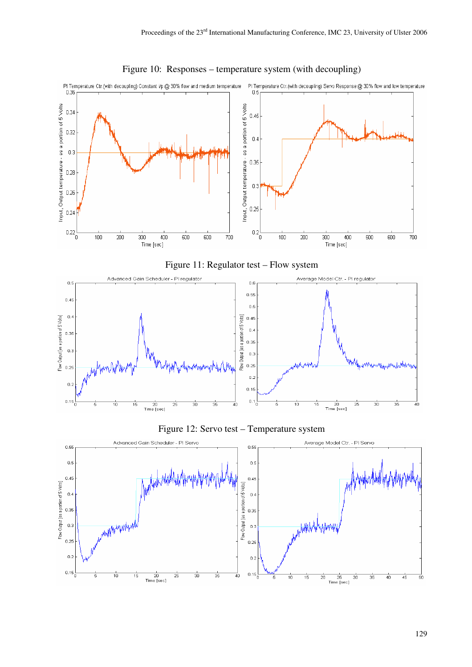

### Figure 10: Responses – temperature system (with decoupling)





129